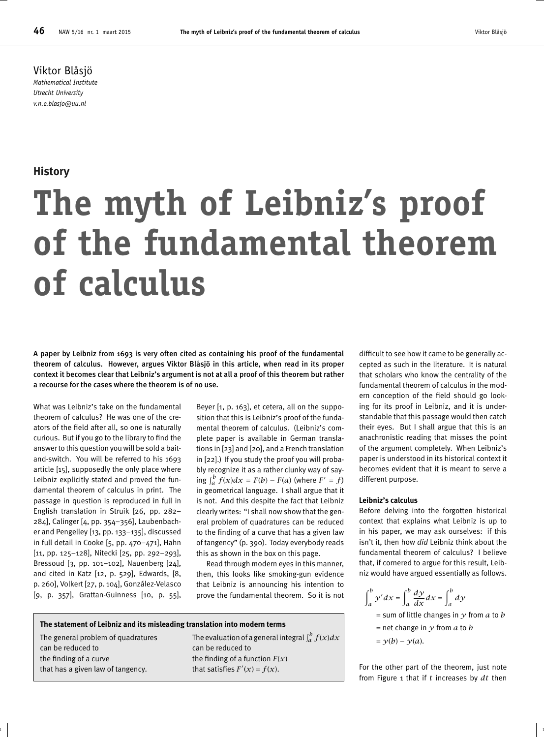Viktor Blåsjö *Mathematical Institute Utrecht University v.n.e.blasjo@uu.nl*

# **History**

# **The myth of Leibniz's proof of the fundamental theorem of calculus**

A paper by Leibniz from 1693 is very often cited as containing his proof of the fundamental theorem of calculus. However, argues Viktor Blåsjö in this article, when read in its proper context it becomes clear that Leibniz's argument is not at all a proof of this theorem but rather a recourse for the cases where the theorem is of no use.

What was Leibniz's take on the fundamental theorem of calculus? He was one of the creators of the field after all, so one is naturally curious. But if you go to the library to find the answer to this question you will be sold a baitand-switch. You will be referred to his 1693 article [15], supposedly the only place where Leibniz explicitly stated and proved the fundamental theorem of calculus in print. The passage in question is reproduced in full in English translation in Struik [26, pp. 282– 284], Calinger [4, pp. 354–356], Laubenbacher and Pengelley [13, pp. 133–135], discussed in full detail in Cooke [5, pp. 470–471], Hahn [11, pp. 125–128], Nitecki [25, pp. 292–293], Bressoud [3, pp. 101–102], Nauenberg [24], and cited in Katz [12, p. 529], Edwards, [8, p. 260], Volkert [27, p. 104], Gonzalez-Velasco ´ [9, p. 357], Grattan-Guinness [10, p. 55],

Beyer [1, p. 163], et cetera, all on the supposition that this is Leibniz's proof of the fundamental theorem of calculus. (Leibniz's complete paper is available in German translations in [23] and [20], and a French translation in [22].) If you study the proof you will probably recognize it as a rather clunky way of say- $\int_a^b f(x)dx = F(b) - F(a)$  (where  $F' = f$ ) in geometrical language. I shall argue that it is not. And this despite the fact that Leibniz clearly writes: "I shall now show that the general problem of quadratures can be reduced to the finding of a curve that has a given law of tangency" (p. 390). Today everybody reads this as shown in the box on this page.

Read through modern eyes in this manner, then, this looks like smoking-gun evidence that Leibniz is announcing his intention to prove the fundamental theorem. So it is not

**The statement of Leibniz and its misleading translation into modern terms**

The general problem of quadratures can be reduced to the finding of a curve that has a given law of tangency.

The evaluation of a general integral  $\int_a^b f(x) dx$ can be reduced to the finding of a function  $F(x)$ that satisfies  $F'(x) = f(x)$ .

 $\frac{1}{1}$  1

difficult to see how it came to be generally accepted as such in the literature. It is natural that scholars who know the centrality of the fundamental theorem of calculus in the modern conception of the field should go looking for its proof in Leibniz, and it is understandable that this passage would then catch their eyes. But I shall argue that this is an anachronistic reading that misses the point of the argument completely. When Leibniz's paper is understood in its historical context it becomes evident that it is meant to serve a different purpose.

### **Leibniz's calculus**

Before delving into the forgotten historical context that explains what Leibniz is up to in his paper, we may ask ourselves: if this isn't it, then how *did* Leibniz think about the fundamental theorem of calculus? I believe that, if cornered to argue for this result, Leibniz would have argued essentially as follows.

$$
\int_{a}^{b} y' dx = \int_{a}^{b} \frac{dy}{dx} dx = \int_{a}^{b} dy
$$
  
= sum of little changes in y from a to b  
= net change in y from a to b  
= y(b) - y(a).

For the other part of the theorem, just note from Figure 1 that if *t* increases by *dt* then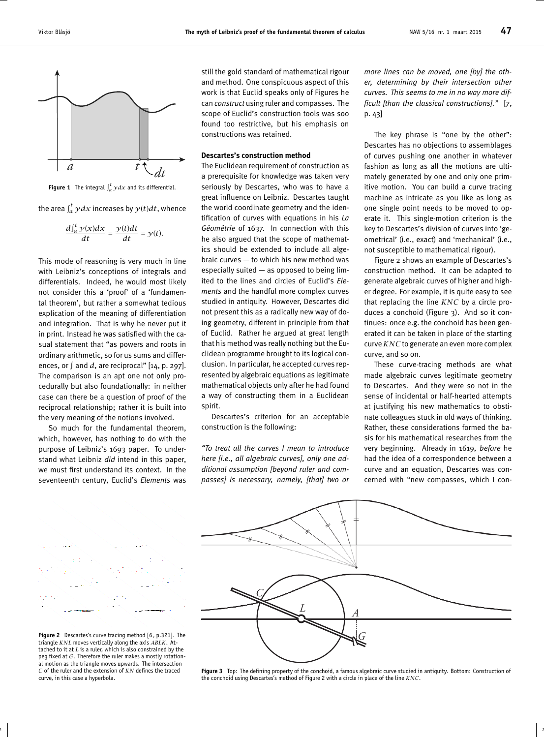

**Figure 1** The integral  $\int_a^t y dx$  and its differential.

the area  $\int_a^t y dx$  increases by  $y(t)dt$ , whence

$$
\frac{d\int_a^t y(x)dx}{dt} = \frac{y(t)dt}{dt} = y(t).
$$

This mode of reasoning is very much in line with Leibniz's conceptions of integrals and differentials. Indeed, he would most likely not consider this a 'proof' of a 'fundamental theorem', but rather a somewhat tedious explication of the meaning of differentiation and integration. That is why he never put it in print. Instead he was satisfied with the casual statement that "as powers and roots in ordinary arithmetic, so for us sums and differences, or  $\int$  and  $d$ , are reciprocal" [14, p. 297]. The comparison is an apt one not only procedurally but also foundationally: in neither case can there be a question of proof of the reciprocal relationship; rather it is built into the very meaning of the notions involved.

So much for the fundamental theorem, which, however, has nothing to do with the purpose of Leibniz's 1693 paper. To understand what Leibniz *did* intend in this paper, we must first understand its context. In the seventeenth century, Euclid's *Elements* was still the gold standard of mathematical rigour and method. One conspicuous aspect of this work is that Euclid speaks only of Figures he can *construct* using ruler and compasses. The scope of Euclid's construction tools was soo found too restrictive, but his emphasis on constructions was retained.

# **Descartes's construction method**

The Euclidean requirement of construction as a prerequisite for knowledge was taken very seriously by Descartes, who was to have a great influence on Leibniz. Descartes taught the world coordinate geometry and the identification of curves with equations in his *La Géométrie* of 1637. In connection with this he also argued that the scope of mathematics should be extended to include all algebraic curves — to which his new method was especially suited  $-$  as opposed to being limited to the lines and circles of Euclid's *Elements* and the handful more complex curves studied in antiquity. However, Descartes did not present this as a radically new way of doing geometry, different in principle from that of Euclid. Rather he argued at great length that his method was really nothing but the Euclidean programme brought to its logical conclusion. In particular, he accepted curves represented by algebraic equations as legitimate mathematical objects only after he had found a way of constructing them in a Euclidean spirit.

Descartes's criterion for an acceptable construction is the following:

*"To treat all the curves I mean to introduce here [i.e., all algebraic curves], only one additional assumption [beyond ruler and compasses] is necessary, namely, [that] two or*

2 |  $\overline{2}$  |  $\overline{2}$  |  $\overline{2}$  |  $\overline{2}$  |  $\overline{2}$  |  $\overline{2}$  |  $\overline{2}$  |  $\overline{2}$  |  $\overline{2}$  |  $\overline{2}$  |  $\overline{2}$  |  $\overline{2}$  |  $\overline{2}$  |  $\overline{2}$  |  $\overline{2}$  |  $\overline{2}$  |  $\overline{2}$  |  $\overline{2}$  |  $\overline{2}$  |  $\overline{2}$ 

*more lines can be moved, one [by] the other, determining by their intersection other curves. This seems to me in no way more difficult [than the classical constructions]."* [7, p. 43]

The key phrase is "one by the other": Descartes has no objections to assemblages of curves pushing one another in whatever fashion as long as all the motions are ultimately generated by one and only one primitive motion. You can build a curve tracing machine as intricate as you like as long as one single point needs to be moved to operate it. This single-motion criterion is the key to Descartes's division of curves into 'geometrical' (i.e., exact) and 'mechanical' (i.e., not susceptible to mathematical rigour).

Figure 2 shows an example of Descartes's construction method. It can be adapted to generate algebraic curves of higher and higher degree. For example, it is quite easy to see that replacing the line *KNC* by a circle produces a conchoid (Figure 3). And so it continues: once e.g. the conchoid has been generated it can be taken in place of the starting curve *KNC* to generate an even more complex curve, and so on.

These curve-tracing methods are what made algebraic curves legitimate geometry to Descartes. And they were so not in the sense of incidental or half-hearted attempts at justifying his new mathematics to obstinate colleagues stuck in old ways of thinking. Rather, these considerations formed the basis for his mathematical researches from the very beginning. Already in 1619, *before* he had the idea of a correspondence between a curve and an equation, Descartes was concerned with "new compasses, which I con-



**Figure 2** Descartes's curve tracing method [6, p.321]. The triangle *KNL* moves vertically along the axis *ABLK*. Attached to it at *L* is a ruler, which is also constrained by the peg fixed at *G*. Therefore the ruler makes a mostly rotational motion as the triangle moves upwards. The intersection *C* of the ruler and the extension of *KN* defines the traced curve, in this case a hyperbola.



**Figure 3** Top: The defining property of the conchoid, a famous algebraic curve studied in antiquity. Bottom: Construction of the conchoid using Descartes's method of Figure 2 with a circle in place of the line *KNC*.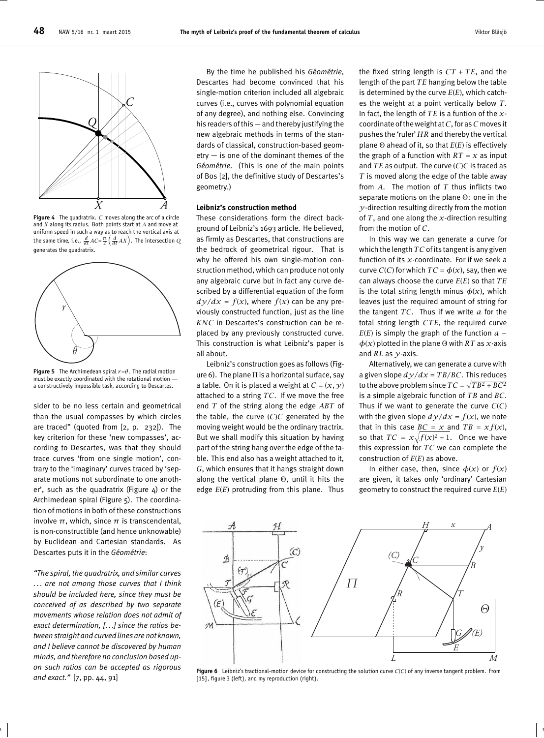

**Figure 4** The quadratrix. *C* moves along the arc of a circle and *X* along its radius. Both points start at *A* and move at uniform speed in such a way as to reach the vertical axis at the same time, i.e.,  $\frac{d}{dt}AC = \frac{\pi}{2} \left( \frac{d}{dt}AX \right)$ . The intersection *Q* generates the quadratrix.



**Figure 5** The Archimedean spiral *r*=*θ*. The radial motion must be exactly coordinated with the rotational motion a constructively impossible task, according to Descartes.

sider to be no less certain and geometrical than the usual compasses by which circles are traced" (quoted from [2, p. 232]). The key criterion for these 'new compasses', according to Descartes, was that they should trace curves 'from one single motion', contrary to the 'imaginary' curves traced by 'separate motions not subordinate to one another', such as the quadratrix (Figure  $4$ ) or the Archimedean spiral (Figure 5). The coordination of motions in both of these constructions involve *π*, which, since *π* is transcendental, is non-constructible (and hence unknowable) by Euclidean and Cartesian standards. As Descartes puts it in the *Géométrie*:

*"The spiral, the quadratrix, and similar curves . . . are not among those curves that I think should be included here, since they must be conceived of as described by two separate movements whose relation does not admit of exact determination, [. . .] since the ratios between straight and curved lines are not known, and I believe cannot be discovered by human minds, and therefore no conclusion based upon such ratios can be accepted as rigorous and exact."* [7, pp. 44, 91]

By the time he published his *Géométrie*, Descartes had become convinced that his single-motion criterion included all algebraic curves (i.e., curves with polynomial equation of any degree), and nothing else. Convincing his readers of this — and thereby justifying the new algebraic methods in terms of the standards of classical, construction-based geometry — is one of the dominant themes of the *Géométrie.* (This is one of the main points of Bos [2], the definitive study of Descartes's geometry.)

# **Leibniz's construction method**

These considerations form the direct background of Leibniz's 1693 article. He believed, as firmly as Descartes, that constructions are the bedrock of geometrical rigour. That is why he offered his own single-motion construction method, which can produce not only any algebraic curve but in fact any curve described by a differential equation of the form  $d\gamma/dx = f(x)$ , where  $f(x)$  can be any previously constructed function, just as the line *KNC* in Descartes's construction can be replaced by any previously constructed curve. This construction is what Leibniz's paper is all about.

Leibniz's construction goes as follows (Figure 6). The plane  $\Pi$  is a horizontal surface, say a table. On it is placed a weight at  $C = (x, y)$ attached to a string *TC*. If we move the free end *T* of the string along the edge *ABT* of the table, the curve  $(C)C$  generated by the moving weight would be the ordinary tractrix. But we shall modify this situation by having part of the string hang over the edge of the table. This end also has a weight attached to it, *G*, which ensures that it hangs straight down along the vertical plane <sup>Θ</sup>, until it hits the edge *E*(*E*) protruding from this plane. Thus

 $3$  ) and the set of the set of the set of the set of the set of the set of the set of the set of the set of the set of the set of the set of the set of the set of the set of the set of the set of the set of the set of th

the fixed string length is  $CT + TE$ , and the length of the part *T E* hanging below the table is determined by the curve *E*(*E*), which catches the weight at a point vertically below *T*. In fact, the length of *TE* is a funtion of the *x*coordinate of the weight at *C*, for as *C* moves it pushes the 'ruler' *HR* and thereby the vertical plane <sup>Θ</sup> ahead of it, so that *<sup>E</sup>*(*E*) is effectively the graph of a function with  $RT = x$  as input and  $TE$  as output. The curve  $(C)C$  is traced as *T* is moved along the edge of the table away from *A*. The motion of *T* thus inflicts two separate motions on the plane <sup>Θ</sup>: one in the *y*-direction resulting directly from the motion of *T*, and one along the *x*-direction resulting from the motion of *C*.

In this way we can generate a curve for which the length *T C* of its tangent is any given function of its *x*-coordinate. For if we seek a curve  $C(C)$  for which  $TC = \phi(x)$ , say, then we can always choose the curve  $E(E)$  so that  $TE$ is the total string length minus  $\phi(x)$ , which leaves just the required amount of string for the tangent  $TC$ . Thus if we write  $a$  for the total string length *CTE*, the required curve *E*(*E*) is simply the graph of the function  $a \phi(x)$  plotted in the plane  $\Theta$  with *RT* as *x*-axis and *RL* as *y*-axis.

Alternatively, we can generate a curve with a given slope  $d\gamma/dx = TB/BC$ . This reduces to the above problem since  $TC = \sqrt{TB^2 + BC^2}$ is a simple algebraic function of *T B* and *BC*. Thus if we want to generate the curve  $C(C)$ with the given slope  $dy/dx = f(x)$ , we note that in this case  $BC = x$  and  $TB = xf(x)$ , so that  $TC = x\sqrt{f(x)^2 + 1}$ . Once we have this expression for *T C* we can complete the construction of *E*(*E*) as above.

In either case, then, since  $\phi(x)$  or  $f(x)$ are given, it takes only 'ordinary' Cartesian geometry to construct the required curve *E*(*E*)



**Figure 6** Leibniz's tractional-motion device for constructing the solution curve *C*(*C*) of any inverse tangent problem. From [15], figure 3 (left), and my reproduction (right).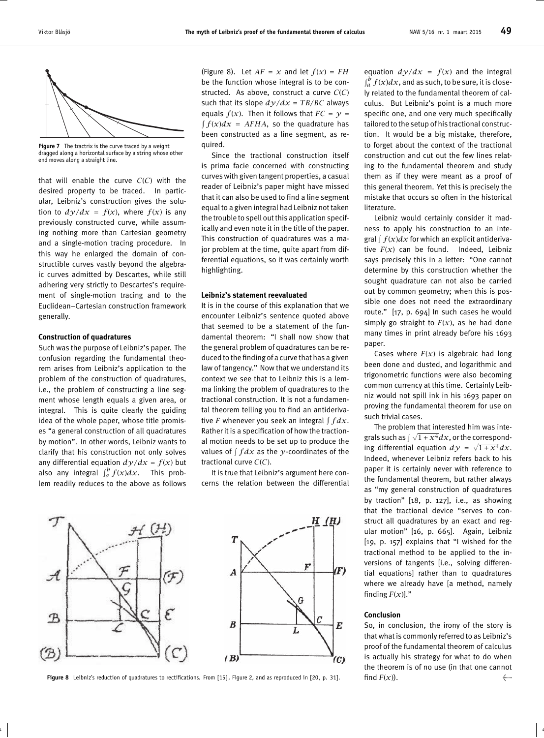

**Figure 7** The tractrix is the curve traced by a weight dragged along a horizontal surface by a string whose other end moves along a straight line.

that will enable the curve  $C(C)$  with the desired property to be traced. In particular, Leibniz's construction gives the solution to  $dy/dx = f(x)$ , where  $f(x)$  is any previously constructed curve, while assuming nothing more than Cartesian geometry and a single-motion tracing procedure. In this way he enlarged the domain of constructible curves vastly beyond the algebraic curves admitted by Descartes, while still adhering very strictly to Descartes's requirement of single-motion tracing and to the Euclidean–Cartesian construction framework generally.

## **Construction of quadratures**

Such was the purpose of Leibniz's paper. The confusion regarding the fundamental theorem arises from Leibniz's application to the problem of the construction of quadratures, i.e., the problem of constructing a line segment whose length equals a given area, or integral. This is quite clearly the guiding idea of the whole paper, whose title promises "a general construction of all quadratures by motion". In other words, Leibniz wants to clarify that his construction not only solves any differential equation  $dy/dx = f(x)$  but also any integral  $\int_a^b f(x) dx$ . This problem readily reduces to the above as follows (Figure 8). Let  $AF = x$  and let  $f(x) = FH$ be the function whose integral is to be constructed. As above, construct a curve *C*(*C*) such that its slope  $d\gamma/dx = TB/BC$  always equals  $f(x)$ . Then it follows that  $FC = y =$  $\int f(x)dx = AFHA$ , so the quadrature has been constructed as a line segment, as required.

Since the tractional construction itself is prima facie concerned with constructing curves with given tangent properties, a casual reader of Leibniz's paper might have missed that it can also be used to find a line segment equal to a given integral had Leibniz not taken the trouble to spell out this application specifically and even note it in the title of the paper. This construction of quadratures was a major problem at the time, quite apart from differential equations, so it was certainly worth highlighting.

# **Leibniz's statement reevaluated**

It is in the course of this explanation that we encounter Leibniz's sentence quoted above that seemed to be a statement of the fundamental theorem: "I shall now show that the general problem of quadratures can be reduced to the finding of a curve that has a given law of tangency." Now that we understand its context we see that to Leibniz this is a lemma linking the problem of quadratures to the tractional construction. It is not a fundamental theorem telling you to find an antiderivative  $F$  whenever you seek an integral  $\int f dx$ . Rather it is a specification of how the tractional motion needs to be set up to produce the values of  $\int f dx$  as the *y*-coordinates of the tractional curve *C*(*C*).

It is true that Leibniz's argument here concerns the relation between the differential





 $\frac{4}{4}$ 

Figure 8 Leibniz's reduction of quadratures to rectifications. From [15], Figure 2, and as reproduced in [20, p. 31].

equation  $dy/dx = f(x)$  and the integral  $\int_a^b f(x) dx$ , and as such, to be sure, it is closely related to the fundamental theorem of calculus. But Leibniz's point is a much more specific one, and one very much specifically tailored to the setup of his tractional construction. It would be a big mistake, therefore, to forget about the context of the tractional construction and cut out the few lines relating to the fundamental theorem and study them as if they were meant as a proof of this general theorem. Yet this is precisely the mistake that occurs so often in the historical literature.

Leibniz would certainly consider it madness to apply his construction to an integral  $\int f(x) dx$  for which an explicit antiderivative *F*(*x*) can be found. Indeed, Leibniz says precisely this in a letter: "One cannot determine by this construction whether the sought quadrature can not also be carried out by common geometry; when this is possible one does not need the extraordinary route." [17, p. 694] In such cases he would simply go straight to  $F(x)$ , as he had done many times in print already before his 1693 paper.

Cases where  $F(x)$  is algebraic had long been done and dusted, and logarithmic and trigonometric functions were also becoming common currency at this time. Certainly Leibniz would not spill ink in his 1693 paper on proving the fundamental theorem for use on such trivial cases.

The problem that interested him was integrals such as  $\int \sqrt{1 + x^4} dx$ , or the corresponding differential equation  $dy = \sqrt{1 + x^4} dx$ . Indeed, whenever Leibniz refers back to his paper it is certainly never with reference to the fundamental theorem, but rather always as "my general construction of quadratures by traction" [18, p. 127], i.e., as showing that the tractional device "serves to construct all quadratures by an exact and regular motion" [16, p. 665]. Again, Leibniz [19, p. 157] explains that "I wished for the tractional method to be applied to the inversions of tangents [i.e., solving differential equations] rather than to quadratures where we already have [a method, namely finding  $F(x)$ ]."

# **Conclusion**

So, in conclusion, the irony of the story is that what is commonly referred to as Leibniz's proof of the fundamental theorem of calculus is actually his strategy for what to do when the theorem is of no use (in that one cannot find  $F(x)$ ).